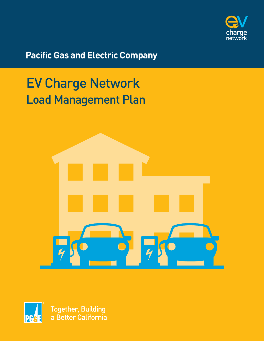

**Pacific Gas and Electric Company** 

# EV Charge Network Load Management Plan





**Together, Building** a Better California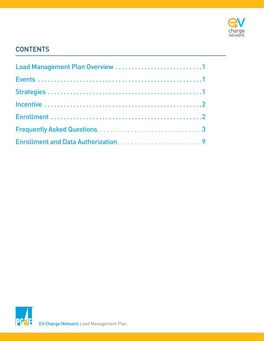

### **CONTENTS**

| Load Management Plan Overview 1 |  |
|---------------------------------|--|
|                                 |  |
|                                 |  |
|                                 |  |
|                                 |  |
|                                 |  |
|                                 |  |

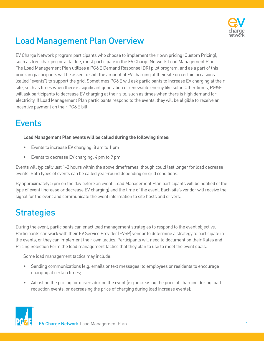

# <span id="page-2-0"></span>Load Management Plan Overview

EV Charge Network program participants who choose to implement their own pricing (Custom Pricing), such as free charging or a flat fee, must participate in the EV Charge Network Load Management Plan. The Load Management Plan utilizes a PG&E Demand Response (DR) pilot program, and as a part of this program participants will be asked to shift the amount of EV charging at their site on certain occasions (called "events") to support the grid. Sometimes PG&E will ask participants to increase EV charging at their site, such as times when there is significant generation of renewable energy like solar. Other times, PG&E will ask participants to decrease EV charging at their site, such as times when there is high demand for electricity. If Load Management Plan participants respond to the events, they will be eligible to receive an incentive payment on their PG&E bill.

## **F**vents

#### **Load Management Plan events will be called during the following times:**

- Events to increase EV charging: 8 am to 1 pm
- Events to decrease EV charging: 4 pm to 9 pm

Events will typically last 1-2 hours within the above timeframes, though could last longer for load decrease events. Both types of events can be called year-round depending on grid conditions.

By approximately 5 pm on the day before an event, Load Management Plan participants will be notified of the type of event (increase or decrease EV charging) and the time of the event. Each site's vendor will receive the signal for the event and communicate the event information to site hosts and drivers.

# **Strategies**

During the event, participants can enact load management strategies to respond to the event objective. Participants can work with their EV Service Provider (EVSP) vendor to determine a strategy to participate in the events, or they can implement their own tactics. Participants will need to document on their Rates and Pricing Selection Form the load management tactics that they plan to use to meet the event goals.

Some load management tactics may include:

- Sending communications (e.g. emails or text messages) to employees or residents to encourage charging at certain times;
- Adjusting the pricing for drivers during the event (e.g. increasing the price of charging during load reduction events, or decreasing the price of charging during load increase events);

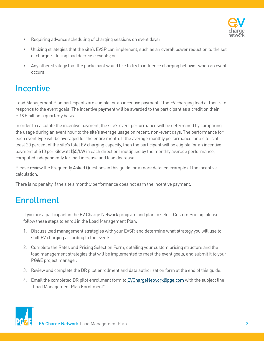

- <span id="page-3-0"></span>• Requiring advance scheduling of charging sessions on event days;
- Utilizing strategies that the site's EVSP can implement, such as an overall power reduction to the set of chargers during load decrease events; or
- Any other strategy that the participant would like to try to influence charging behavior when an event occurs.

### **Incentive**

Load Management Plan participants are eligible for an incentive payment if the EV charging load at their site responds to the event goals. The incentive payment will be awarded to the participant as a credit on their PG&E bill on a quarterly basis.

In order to calculate the incentive payment, the site's event performance will be determined by comparing the usage during an event hour to the site's average usage on recent, non-event days. The performance for each event type will be averaged for the entire month. If the average monthly performance for a site is at least 20 percent of the site's total EV charging capacity, then the participant will be eligible for an incentive payment of \$10 per kilowatt (\$5/kW in each direction) multiplied by the monthly average performance, computed independently for load increase and load decrease.

Please review the Frequently Asked Questions in this guide for a more detailed example of the incentive calculation.

There is no penalty if the site's monthly performance does not earn the incentive payment.

# Enrollment

If you are a participant in the EV Charge Network program and plan to select Custom Pricing, please follow these steps to enroll in the Load Management Plan:

- 1. Discuss load management strategies with your EVSP, and determine what strategy you will use to shift EV charging according to the events.
- 2. Complete the Rates and Pricing Selection Form, detailing your custom pricing structure and the load management strategies that will be implemented to meet the event goals, and submit it to your PG&E project manager.
- 3. Review and complete the DR pilot enrollment and data authorization form at the end of this guide.
- 4. Email the completed DR pilot enrollment form to [EVChargeNetwork@pge.com](mailto:EVChargeNetwork%40pge.com?subject=) with the subject line "Load Management Plan Enrollment".

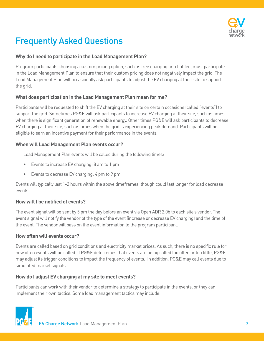

# <span id="page-4-0"></span>Frequently Asked Questions

### **Why do I need to participate in the Load Management Plan?**

Program participants choosing a custom pricing option, such as free charging or a flat fee, must participate in the Load Management Plan to ensure that their custom pricing does not negatively impact the grid. The Load Management Plan will occasionally ask participants to adjust the EV charging at their site to support the grid.

### **What does participation in the Load Management Plan mean for me?**

Participants will be requested to shift the EV charging at their site on certain occasions (called "events") to support the grid. Sometimes PG&E will ask participants to increase EV charging at their site, such as times when there is significant generation of renewable energy. Other times PG&E will ask participants to decrease EV charging at their site, such as times when the grid is experiencing peak demand. Participants will be eligible to earn an incentive payment for their performance in the events.

### **When will Load Management Plan events occur?**

Load Management Plan events will be called during the following times:

- Events to increase EV charging: 8 am to 1 pm
- Events to decrease EV charging: 4 pm to 9 pm

Events will typically last 1-2 hours within the above timeframes, though could last longer for load decrease events.

### **How will I be notified of events?**

The event signal will be sent by 5 pm the day before an event via Open ADR 2.0b to each site's vendor. The event signal will notify the vendor of the type of the event (increase or decrease EV charging) and the time of the event. The vendor will pass on the event information to the program participant.

#### **How often will events occur?**

Events are called based on grid conditions and electricity market prices. As such, there is no specific rule for how often events will be called. If PG&E determines that events are being called too often or too little, PG&E may adjust its trigger conditions to impact the frequency of events. In addition, PG&E may call events due to simulated market signals.

### **How do I adjust EV charging at my site to meet events?**

Participants can work with their vendor to determine a strategy to participate in the events, or they can implement their own tactics. Some load management tactics may include:

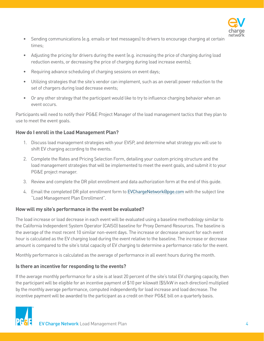

- Sending communications (e.g. emails or text messages) to drivers to encourage charging at certain times;
- Adjusting the pricing for drivers during the event (e.g. increasing the price of charging during load reduction events, or decreasing the price of charging during load increase events);
- Requiring advance scheduling of charging sessions on event days;
- Utilizing strategies that the site's vendor can implement, such as an overall power reduction to the set of chargers during load decrease events;
- Or any other strategy that the participant would like to try to influence charging behavior when an event occurs.

Participants will need to notify their PG&E Project Manager of the load management tactics that they plan to use to meet the event goals.

### **How do I enroll in the Load Management Plan?**

- 1. Discuss load management strategies with your EVSP, and determine what strategy you will use to shift EV charging according to the events.
- 2. Complete the Rates and Pricing Selection Form, detailing your custom pricing structure and the load management strategies that will be implemented to meet the event goals, and submit it to your PG&E project manager.
- 3. Review and complete the DR pilot enrollment and data authorization form at the end of this guide.
- 4. Email the completed DR pilot enrollment form to [EVChargeNetwork@pge.com](mailto:EVChargeNetwork%40pge.com?subject=) with the subject line "Load Management Plan Enrollment".

### **How will my site's performance in the event be evaluated?**

The load increase or load decrease in each event will be evaluated using a baseline methodology similar to the California Independent System Operator (CAISO) baseline for Proxy Demand Resources. The baseline is the average of the most recent 10 similar non-event days. The increase or decrease amount for each event hour is calculated as the EV charging load during the event relative to the baseline. The increase or decrease amount is compared to the site's total capacity of EV charging to determine a performance ratio for the event.

Monthly performance is calculated as the average of performance in all event hours during the month.

### **Is there an incentive for responding to the events?**

If the average monthly performance for a site is at least 20 percent of the site's total EV charging capacity, then the participant will be eligible for an incentive payment of \$10 per kilowatt (\$5/kW in each direction) multiplied by the monthly average performance, computed independently for load increase and load decrease. The incentive payment will be awarded to the participant as a credit on their PG&E bill on a quarterly basis.

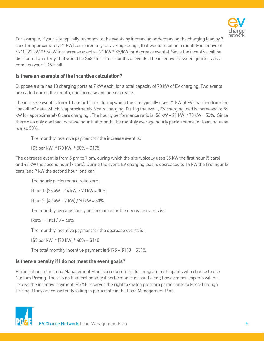

For example, if your site typically responds to the events by increasing or decreasing the charging load by 3 cars (or approximately 21 kW) compared to your average usage, that would result in a monthly incentive of \$210 (21 kW \* \$5/kW for increase events + 21 kW \* \$5/kW for decrease events). Since the incentive will be distributed quarterly, that would be \$630 for three months of events. The incentive is issued quarterly as a credit on your PG&E bill.

#### **Is there an example of the incentive calculation?**

Suppose a site has 10 charging ports at 7 kW each, for a total capacity of 70 kW of EV charging. Two events are called during the month, one increase and one decrease.

The increase event is from 10 am to 11 am, during which the site typically uses 21 kW of EV charging from the "baseline" data, which is approximately 3 cars charging. During the event, EV charging load is increased to 56 kW (or approximately 8 cars charging). The hourly performance ratio is (56 kW – 21 kW) / 70 kW = 50%. Since there was only one load increase hour that month, the monthly average hourly performance for load increase is also 50%.

The monthly incentive payment for the increase event is:

(\$5 per kW) \* (70 kW) \* 50% = \$175

The decrease event is from 5 pm to 7 pm, during which the site typically uses 35 kW the first hour (5 cars) and 42 kW the second hour (7 cars). During the event, EV charging load is decreased to 14 kW the first hour (2 cars) and 7 kW the second hour (one car).

The hourly performance ratios are:

Hour 1: (35 kW – 14 kW) / 70 kW = 30%,

Hour 2: (42 kW – 7 kW) / 70 kW = 50%.

The monthly average hourly performance for the decrease events is:

 $(30\% + 50\%) / 2 = 40\%$ 

The monthly incentive payment for the decrease events is:

(\$5 per kW) \* (70 kW) \* 40% = \$140

The total monthly incentive payment is \$175 + \$140 = \$315.

#### **Is there a penalty if I do not meet the event goals?**

Participation in the Load Management Plan is a requirement for program participants who choose to use Custom Pricing. There is no financial penalty if performance is insufficient; however, participants will not receive the incentive payment. PG&E reserves the right to switch program participants to Pass-Through Pricing if they are consistently failing to participate in the Load Management Plan.

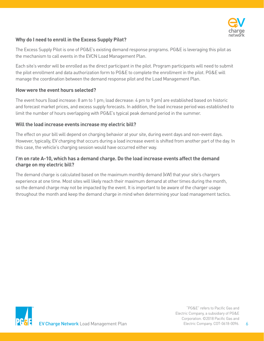

### **Why do I need to enroll in the Excess Supply Pilot?**

The Excess Supply Pilot is one of PG&E's existing demand response programs. PG&E is leveraging this pilot as the mechanism to call events in the EVCN Load Management Plan.

Each site's vendor will be enrolled as the direct participant in the pilot. Program participants will need to submit the pilot enrollment and data authorization form to PG&E to complete the enrollment in the pilot. PG&E will manage the coordination between the demand response pilot and the Load Management Plan.

#### **How were the event hours selected?**

The event hours (load increase: 8 am to 1 pm; load decrease: 4 pm to 9 pm) are established based on historic and forecast market prices, and excess supply forecasts. In addition, the load increase period was established to limit the number of hours overlapping with PG&E's typical peak demand period in the summer.

#### **Will the load increase events increase my electric bill?**

The effect on your bill will depend on charging behavior at your site, during event days and non-event days. However, typically, EV charging that occurs during a load increase event is shifted from another part of the day. In this case, the vehicle's charging session would have occurred either way.

### **I'm on rate A-10, which has a demand charge. Do the load increase events affect the demand charge on my electric bill?**

The demand charge is calculated based on the maximum monthly demand (kW) that your site's chargers experience at one time. Most sites will likely reach their maximum demand at other times during the month, so the demand charge may not be impacted by the event. It is important to be aware of the charger usage throughout the month and keep the demand charge in mind when determining your load management tactics.



"PG&E" refers to Pacific Gas and Electric Company, a subsidiary of PG&E Corporation. ©2018 Pacific Gas and Electric Company. COT-0618-0096.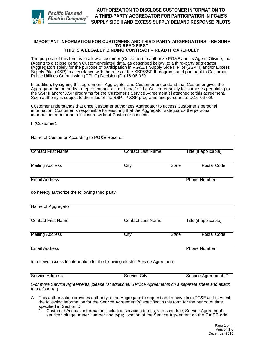

#### **IMPORTANT INFORMATION FOR CUSTOMERS AND THIRD-PARTY AGGREGATORS – BE SURE TO READ FIRST THIS IS A LEGALLY BINDING CONTRACT – READ IT CAREFULLY**

 (Agent) to disclose certain Customer-related data, as described below, to a third-party aggregator (Aggregator) solely for the purpose of participation in PG&E's Supply Side II Pilot (SSP II) and/or Excess Supply Pilot (XSP) in accordance with the rules of the XSP/SSP II programs and pursuant to California The purpose of this form is to allow a customer (Customer) to authorize PG&E and its Agent, Olivine, Inc., Public Utilities Commission (CPUC) Decision (D.) 16-06-029.

 the SSP II and/or XSP programs for the Customer's Service Agreement[s] attached to this agreement. In addition, by signing this agreement, Aggregator and Customer understand that Customer gives the Aggregator the authority to represent and act on behalf of the Customer solely for purposes pertaining to Such authority is subject to the rules of the SSP II / XSP programs and pursuant to D.16-06-029.

Customer understands that once Customer authorizes Aggregator to access Customer's personal information, Customer is responsible for ensuring that the Aggregator safeguards the personal information from further disclosure without Customer consent.

I, (Customer),

Name of Customer According to PG&E Records

| <b>Contact First Name</b>                                                      | <b>Contact Last Name</b> | Title (if applicable) |                       |  |  |  |
|--------------------------------------------------------------------------------|--------------------------|-----------------------|-----------------------|--|--|--|
| <b>Mailing Address</b>                                                         | City                     | <b>State</b>          | <b>Postal Code</b>    |  |  |  |
| <b>Email Address</b>                                                           |                          | <b>Phone Number</b>   |                       |  |  |  |
| do hereby authorize the following third party:                                 |                          |                       |                       |  |  |  |
| Name of Aggregator                                                             |                          |                       |                       |  |  |  |
| <b>Contact First Name</b>                                                      | <b>Contact Last Name</b> |                       | Title (if applicable) |  |  |  |
| <b>Mailing Address</b>                                                         | City                     | <b>State</b>          | <b>Postal Code</b>    |  |  |  |
| <b>Email Address</b>                                                           |                          |                       | <b>Phone Number</b>   |  |  |  |
| to receive access to information for the following electric Service Agreement: |                          |                       |                       |  |  |  |

Service Address Service City Service Agreement ID

 (*For more Service Agreements, please list additional Service Agreements on a separate sheet and attach it to this form.*)

 A. This authorization provides authority to the Aggregator to request and receive from PG&E and its Agent the following information for the Service Agreement(s) specified in this form for the period of time specified in Section D:

 1. Customer Account information, including service address; rate schedule; Service Agreement; service voltage; meter number and type; location of the Service Agreement on the CAISO grid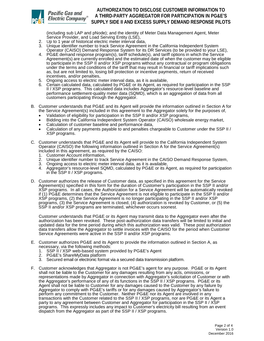

### *Pacific Gas and* Electric Company®

#### **SUPPLY SIDE II AND EXCESS SUPPLY DEMAND RESPONSE PILOTS AUTHORIZATION TO DISCLOSE CUSTOMER INFORMATION TO A THIRD-PARTY AGGREGATOR FOR PARTICIPATION IN PG&E'S**

(including sub LAP and pNode); and the identity of Meter Data Management Agent, Meter Service Provider, and Load Serving Entity (LSE),

- 2. Up to 1 year of historical electric meter interval data,
- Operator (CAISO) Demand Response System for its DR Services (to be provided to your LSE), 3. Unique identifier number to track Service Agreement in the California Independent System
- 4. PG&E demand response program(s), tariff schedule(s), and tariff options in which the Service Agreement(s) are currently enrolled and the estimated date of when the customer may be eligible to participate in the SSP II and/or XSP programs without any contractual or program obligations under the terms and conditions of the tariff that may result in financial or tariff implications such as, but are not limited to, losing bill protection or incentive payments, return of received incentives, and/or penalties,
- 5. Ongoing access to electric meter interval data, as it is available,
- 6. Certain calculated data, calculated by PG&E or its Agent, as required for participation in the SSP II / XSP programs. This calculated data includes Aggregator's resource-level baseline and performance settlement-quality meter data (SQMD), which is an aggregation of data from all customers participating through the Aggregator.
- B. Customer understands that PG&E and its Agent will provide the information outlined in Section A for the Service Agreement(s) included in this agreement to the Aggregator solely for the purposes of,
	- Validation of eligibility for participation in the SSP II and/or XSP programs,
	- Bidding into the California Independent System Operator (CAISO) wholesale energy market,
	- Calculation of customer baseline and performance data,
	- • Calculation of any payments payable to and penalties chargeable to Customer under the SSP II / XSP programs.
- Operator (CAISO) the following information outlined in Section A for the Service Agreement(s) C. Customer understands that PG&E and its Agent will provide to the California Independent System included in this agreement, as required by the CAISO:
	- 1. Customer Account information,
	- 2. Unique identifier number to track Service Agreement in the CAISO Demand Response System,
	- 3. Ongoing access to electric meter interval data, as it is available,
	- 4. Aggregator's resource-level SQMD, calculated by PG&E or its Agent, as required for participation in the SSP II / XSP programs.
- D. Customer authorizes the release of Customer data, as specified in this agreement for the Service Agreement(s) specified in this form for the duration of Customer's participation in the SSP II and/or XSP programs. In all cases, the Authorization for a Service Agreement will be automatically revoked if (1) PG&E determines that the Service Agreement is not eligible to participate in the SSP II and/or XSP programs, (2) the Service Agreement is no longer participating in the SSP II and/or XSP programs, (3) the Service Agreement is closed, (4) authorization is revoked by Customer, or (5) the SSP II and/or XSP programs are terminated, whichever occurs soonest.

 Customer understands that PG&E or its Agent may transmit data to the Aggregator even after the authorization has been revoked. These post-authorization data transfers will be limited to initial and data transfers allow the Aggregator to settle invoices with the CAISO for the period when Customer updated data for the time period during which this authorization was valid. These post authorization Service Agreements were active in the SSP II and/or XSP programs.

- E. Customer authorizes PG&E and its Agent to provide the information outlined in Section A, as necessary, via the following methods:
	- 1. SSP II / XSP web-based system provided by PG&E's Agent
	- 2. PG&E's ShareMyData platform
	- 3. Secured email or electronic format via a secured data transmission platform.
- F. Customer acknowledges that Aggregator is not PG&E's agent for any purpose. PG&E or its Agent Aggregator to comply with PG&E's tariffs or for any damages caused by Aggregator's failure to perform any commitment to the Customer. Neither PG&E nor its Agent are involved in any party to any agreement between Customer and Aggregator for participation in the SSP II / XSP dispatch from the Aggregator as part of the SSP II / XSP programs. shall not be liable to the Customer for any damages resulting from any acts, omissions, or representations made by Aggregator in connection with Aggregator's solicitation of Customer or with the Aggregator's performance of any of its functions in the SSP II / XSP programs. PG&E or its Agent shall not be liable to Customer for any damages caused to the Customer by any failure by transactions with the Customer related to the SSP II / XSP programs, nor are PG&E or its Agent a programs. This expressly includes any impact to Customer's electricity bill resulting from an event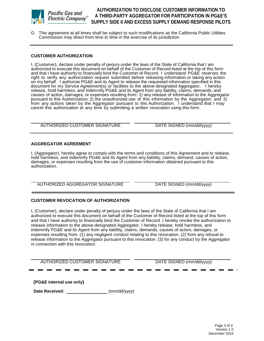

#### Pacific Gas and **Electric Company**

#### **SUPPLY SIDE II AND EXCESS SUPPLY DEMAND RESPONSE PILOTS AUTHORIZATION TO DISCLOSE CUSTOMER INFORMATION TO A THIRD-PARTY AGGREGATOR FOR PARTICIPATION IN PG&E'S**

 G. This agreement at all times shall be subject to such modifications as the California Public Utilities Commission may direct from time to time in the exercise of its jurisdiction.

#### **CUSTOMER AUTHORIZATION**

 I, (Customer), declare under penalty of perjury under the laws of the State of California that I am and that I have authority to financially bind the Customer of Record. I understand PG&E reserves the document for my Service Agreement(s) or facilities to the above-designated Aggregator. I hereby release, hold harmless, and indemnify PG&E and its Agent from any liability, claims, demands, and pursuant to this Authorization; 2) the unauthorized use of this information by the Aggregator; and 3) cancel this authorization at any time by submitting a written revocation using this form. authorized to execute this document on behalf of the Customer of Record listed at the top of this form right to verify any authorization request submitted before releasing information or taking any action on my behalf. I authorize PG&E and its Agent to release the requested information specified in this causes of action, damages, or expenses resulting from: 1) any release of information to the Aggregator from any actions taken by the Aggregator pursuant to this Authorization. I understand that I may

| AUTHORIZED CUSTOMER SIGNATURE |  |
|-------------------------------|--|
|-------------------------------|--|

DATE SIGNED (mm/dd/yyyy)

#### **AGGREGATOR AGREEMENT**

 I, (Aggregator), hereby agree to comply with the terms and conditions of this Agreement and to release, hold harmless, and indemnify PG&E and its Agent from any liability, claims, demand, causes of action, damages, or expenses resulting from the use of customer information obtained pursuant to this authorization.

AUTHORIZED AGGREGATOR SIGNATURE DATE SIGNED (mm/dd/yyyy)

#### **CUSTOMER REVOCATION OF AUTHORIZATION**

 I, (Customer), declare under penalty of perjury under the laws of the State of California that I am authorized to execute this document on behalf of the Customer of Record listed at the top of this form and that I have authority to financially bind the Customer of Record. I hereby revoke the authorization to expenses resulting from: (1) any negligent conduct relating to this revocation, (2) from any refusal to release information to the Aggregator pursuant to this revocation: (3) for any conduct by the Aggregator in connection with this revocation. release information to the above-designated Aggregator. I hereby release, hold harmless, and indemnify PG&E and its Agent from any liability, claims, demands, causes of action, damages, or

AUTHORIZED CUSTOMER SIGNATURE DATE SIGNED (mm/dd/yyyy)

 **[PG&E internal use only}** 

**Date Received:** \_\_\_\_\_\_\_\_\_\_\_\_\_\_\_\_\_\_\_\_(mm/dd/yyyy)